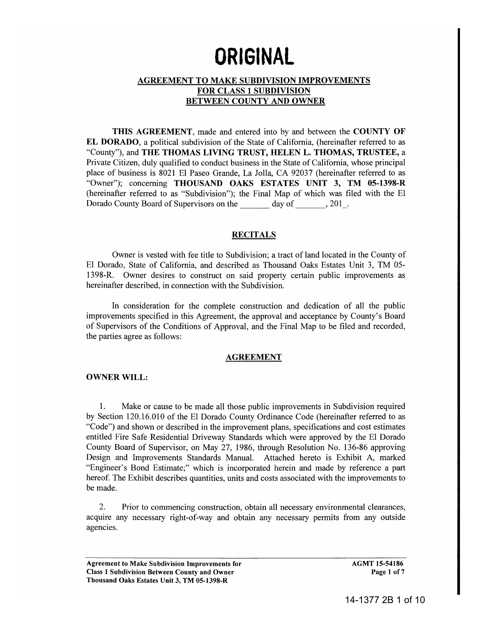# ORIGINAL

# AGREEMENT TO MAKE SUBDIVISION IMPROVEMENTS FOR CLASS 1 SUBDIVISION BETWEEN COUNTY AND OWNER

THIS AGREEMENT, made and entered into by and between the COUNTY OF EL DORADO, a political subdivision of the State of California, (hereinafter referred to as "County"), and THE THOMAS LIVING TRUST, HELEN L. THOMAS, TRUSTEE, a Private Citizen, duly qualified to conduct business in the State of California, whose principal place of business is 8021 El Paseo Grande, La Jolla, CA 92037 (hereinafter referred to as "Owner"); concerning THOUSAND OAKS ESTATES UNIT 3, TM 05-1398-R (hereinafter referred to as "Subdivision"); the Final Map of which was filed with the El Dorado County Board of Supervisors on the day of , 201.

## **RECITALS**

Owner is vested with fee title to Subdivision; a tract of land located in the County of El Dorado, State of California, and described as Thousand Oaks Estates Unit 3, TM 05- 1398-R. Owner desires to construct on said property certain public improvements as hereinafter described, in connection with the Subdivision.

In consideration for the complete construction and dedication of all the public improvements specified in this Agreement, the approval and acceptance by County's Board of Supervisors of the Conditions of Approval, and the Final Map to be filed and recorded, the parties agree as follows:

#### AGREEMENT

#### OWNER WILL:

1. Make or cause to be made all those public improvements in Subdivision required by Section 120.16.01 0 of the El Dorado County Ordinance Code (hereinafter referred to as "Code") and shown or described in the improvement plans, specifications and cost estimates entitled Fire Safe Residential Driveway Standards which were approved by the El Dorado County Board of Supervisor, on May 27, 1986, through Resolution No. 136-86 approving Design and Improvements Standards Manual. Attached hereto is Exhibit A, marked "Engineer's Bond Estimate;" which is incorporated herein and made by reference a part hereof. The Exhibit describes quantities, units and costs associated with the improvements to be made.

2. Prior to commencing construction, obtain all necessary environmental clearances, acquire any necessary right-of-way and obtain any necessary permits from any outside agencies.

Agreement to Make Subdivision Improvements for Class 1 Subdivision Between County and Owner Thousand Oaks Estates Unit 3, TM 05-1398-R

AGMT 15-54186 Page 1 of 7

14-1377 2B 1 of 10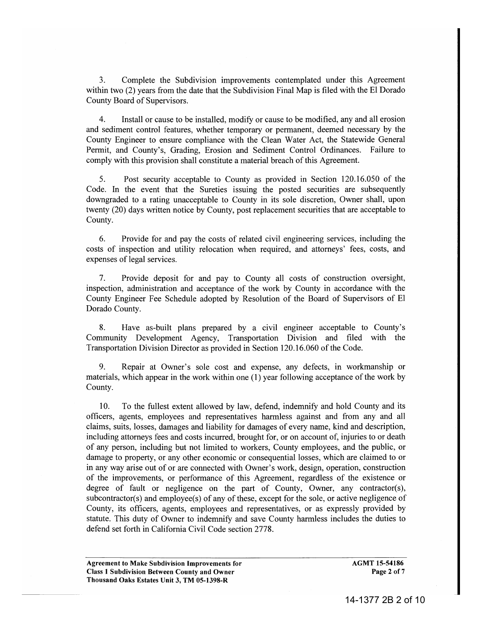3. Complete the Subdivision improvements contemplated under this Agreement within two (2) years from the date that the Subdivision Final Map is filed with the El Dorado County Board of Supervisors.

4. Install or cause to be installed, modify or cause to be modified, any and all erosion and sediment control features, whether temporary or permanent, deemed necessary by the County Engineer to ensure compliance with the Clean Water Act, the Statewide General Permit, and County's, Grading, Erosion and Sediment Control Ordinances. Failure to comply with this provision shall constitute a material breach of this Agreement.

5. Post security acceptable to County as provided in Section 120.16.050 of the Code. In the event that the Sureties issuing the posted securities are subsequently downgraded to a rating unacceptable to County in its sole discretion, Owner shall, upon twenty (20) days written notice by County, post replacement securities that are acceptable to County.

6. Provide for and pay the costs of related civil engineering services, including the costs of inspection and utility relocation when required, and attorneys' fees, costs, and expenses of legal services.

7. Provide deposit for and pay to County all costs of construction oversight, inspection, administration and acceptance of the work by County in accordance with the County Engineer Fee Schedule adopted by Resolution of the Board of Supervisors of El Dorado County.

8. Have as-built plans prepared by a civil engineer acceptable to County's Community Development Agency, Transportation Division and filed with the Transportation Division Director as provided in Section 120.16.060 of the Code.

9. Repair at Owner's sole cost and expense, any defects, in workmanship or materials, which appear in the work within one (1) year following acceptance of the work by County.

10. To the fullest extent allowed by law, defend, indemnify and hold County and its officers, agents, employees and representatives harmless against and from any and all claims, suits, losses, damages and liability for damages of every name, kind and description, including attorneys fees and costs incurred, brought for, or on account of, injuries to or death of any person, including but not limited to workers, County employees, and the public, or damage to property, or any other economic or consequential losses, which are claimed to or in any way arise out of or are connected with Owner's work, design, operation, construction of the improvements, or performance of this Agreement, regardless of the existence or degree of fault or negligence on the part of County, Owner, any contractor(s), subcontractor(s) and employee(s) of any of these, except for the sole, or active negligence of County, its officers, agents, employees and representatives, or as expressly provided by statute. This duty of Owner to indemnify and save County harmless includes the duties to defend set forth in California Civil Code section 2778.

Agreement to Make Subdivision Improvements for Class 1 Subdivision Between County and Owner Thousand Oaks Estates Unit 3, TM 05-1398-R

AGMT 15-54186 Page 2 of 7

14-1377 2B 2 of 10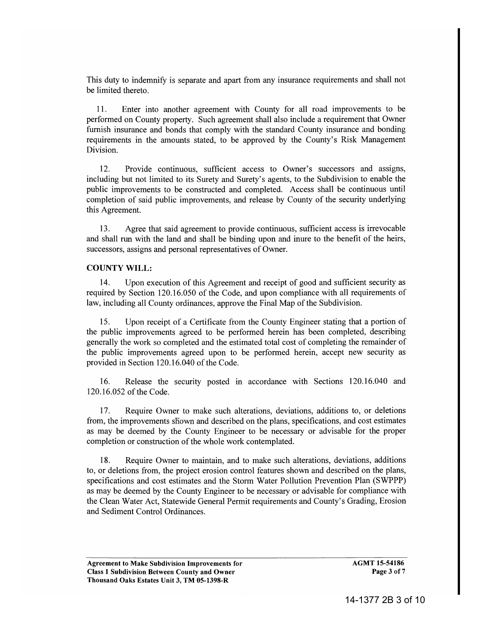This duty to indemnify is separate and apart from any insurance requirements and shall not be limited thereto.

11. Enter into another agreement with County for all road improvements to be performed on County property. Such agreement shall also include a requirement that Owner furnish insurance and bonds that comply with the standard County insurance and bonding requirements in the amounts stated, to be approved by the County's Risk Management Division.

12. Provide continuous, sufficient access to Owner's successors and assigns, including but not limited to its Surety and Surety's agents, to the Subdivision to enable the public improvements to be constructed and completed. Access shall be continuous until completion of said public improvements, and release by County of the security underlying this Agreement.

13. Agree that said agreement to provide continuous, sufficient access is irrevocable and shall run with the land and shall be binding upon and inure to the benefit of the heirs, successors, assigns and personal representatives of Owner.

## COUNTY WILL:

14. Upon execution of this Agreement and receipt of good and sufficient security as required by Section 120.16.050 of the Code, and upon compliance with all requirements of law, including all County ordinances, approve the Final Map of the Subdivision.

15. Upon receipt of a Certificate from the County Engineer stating that a portion of the public improvements agreed to be performed herein has been completed, describing generally the work so completed and the estimated total cost of completing the remainder of the public improvements agreed upon to be performed herein, accept new security as provided in Section 120.16.040 of the Code.

16. Release the security posted in accordance with Sections 120.16.040 and 120.16.052 of the Code.

1 7. Require Owner to make such alterations, deviations, additions to, or deletions from, the improvements shown and described on the plans, specifications, and cost estimates as may be deemed by the County Engineer to be necessary or advisable for the proper completion or construction of the whole work contemplated.

18. Require Owner to maintain, and to make such alterations, deviations, additions to, or deletions from, the project erosion control features shown and described on the plans, specifications and cost estimates and the Storm Water Pollution Prevention Plan (SWPPP) as may be deemed by the County Engineer to be necessary or advisable for compliance with the Clean Water Act, Statewide General Permit requirements and County's Grading, Erosion and Sediment Control Ordinances.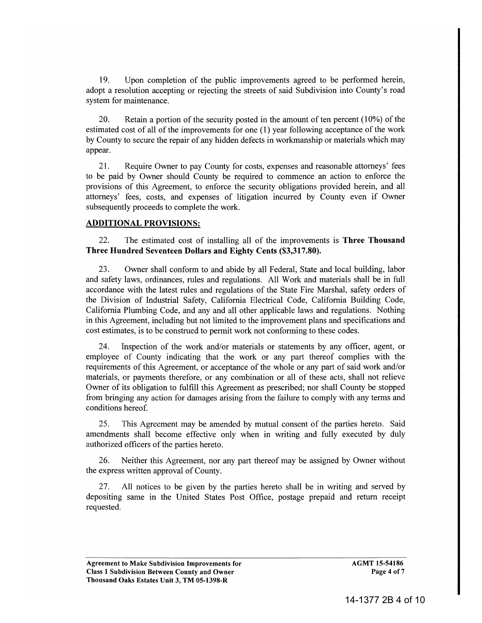19. Upon completion of the public improvements agreed to be performed herein, adopt a resolution accepting or rejecting the streets of said Subdivision into County's road system for maintenance.

20. Retain a portion of the security posted in the amount of ten percent  $(10\%)$  of the estimated cost of all of the improvements for one (1) year following acceptance of the work by County to secure the repair of any hidden defects in workmanship or materials which may appear.

21. Require Owner to pay County for costs, expenses and reasonable attorneys' fees to be paid by Owner should County be required to commence an action to enforce the provisions of this Agreement, to enforce the security obligations provided herein, and all attorneys' fees, costs, and expenses of litigation incurred by County even if Owner subsequently proceeds to complete the work.

## ADDITIONAL PROVISIONS:

22. The estimated cost of installing all of the improvements is Three Thousand Three Hundred Seventeen Dollars and Eighty Cents (\$3,317.80).

23. Owner shall conform to and abide by all Federal, State and local building, labor and safety laws, ordinances, rules and regulations. All Work and materials shall be in full accordance with the latest rules and regulations of the State Fire Marshal, safety orders of the Division of Industrial Safety, California Electrical Code, California Building Code, California Plumbing Code, and any and all other applicable laws and regulations. Nothing in this Agreement, including but not limited to the improvement plans and specifications and cost estimates, is to be construed to permit work not conforming to these codes.

24. Inspection of the work and/or materials or statements by any officer, agent, or employee of County indicating that the work or any part thereof complies with the requirements of this Agreement, or acceptance of the whole or any part of said work and/or materials, or payments therefore, or any combination or all of these acts, shall not relieve Owner of its obligation to fulfill this Agreement as prescribed; nor shall County be stopped from bringing any action for damages arising from the failure to comply with any terms and conditions hereof.

25. This Agreement may be amended by mutual consent of the parties hereto. Said amendments shall become effective only when in writing and fully executed by duly authorized officers of the parties hereto.

26. Neither this Agreement, nor any part thereof may be assigned by Owner without the express written approval of County.

27. All notices to be given by the parties hereto shall be in writing and served by depositing same in the United States Post Office, postage prepaid and return receipt requested.

AGMT 15-54186 Page 4 of 7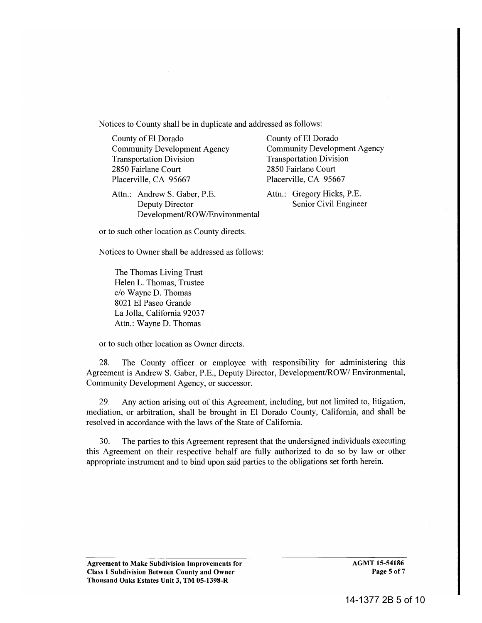Notices to County shall be in duplicate and addressed as follows:

County of El Dorado County of El Dorado Community Development Agency Community Development Agency Transportation Division Transportation Division 2850 Fairlane Court 2850 Fairlane Court Placerville, CA 95667 Placerville, CA 95667

Attn.: Andrew S. Gaber, P.E. Attn.: Gregory Hicks, P.E. Deputy Director Development/ROW/Environmental

Senior Civil Engineer

or to such other location as County directs.

Notices to Owner shall be addressed as follows:

The Thomas Living Trust Helen L. Thomas, Trustee c/o Wayne D. Thomas 8021 El Paseo Grande La Jolla, California 92037 Attn.: Wayne D. Thomas

or to such other location as Owner directs.

28. The County officer or employee with responsibility for administering this Agreement is Andrew S. Gaber, P.E., Deputy Director, Development/ROW/ Environmental, Community Development Agency, or successor.

29. Any action arising out of this Agreement, including, but not limited to, litigation, mediation, or arbitration, shall be brought in El Dorado County, California, and shall be resolved in accordance with the laws of the State of California.

30. The parties to this Agreement represent that the undersigned individuals executing this Agreement on their respective behalf are fully authorized to do so by law or other appropriate instrument and to bind upon said parties to the obligations set forth herein.

AGMT 15-54186 Page 5 of 7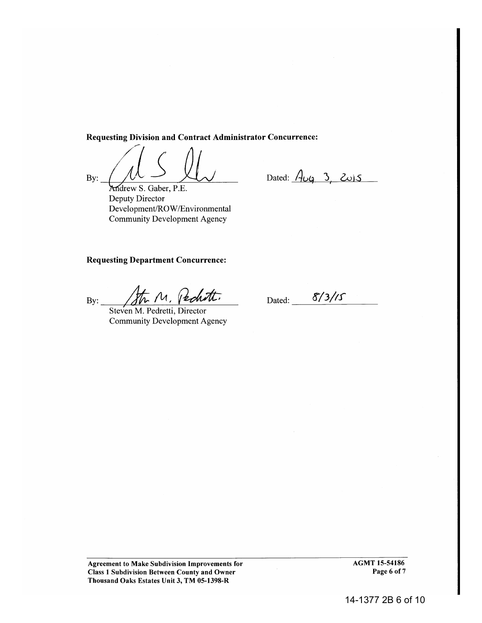Requesting Division and Contract Administrator Concurrence:

*ng* Division and Co<br>  $\bigg(\begin{array}{c} \begin{array}{c} \begin{array}{c} \end{array} \\ \begin{array}{c} \end{array} \\ \begin{array}{c} \end{array} \end{array} \end{array}$ By:  $\underbrace{\hspace{1cm}}$  Andrew S. Gaber, P.E.

Dated:  $A_{\cup 9}$  3, 2015

Deputy Director Development/ROW /Environmental Community Development Agency

## Requesting Department Concurrence:

By:  $\frac{1}{\sqrt{h}M}$ , redutt.

Community Development Agency

Dated: 8/3/15

Agreement to Make Subdivision Improvements for Class 1 Subdivision Between County and Owner Thousand Oaks Estates Unit 3, TM 05-1398-R

AGMT 15-54186 Page 6 of 7

14-1377 2B 6 of 10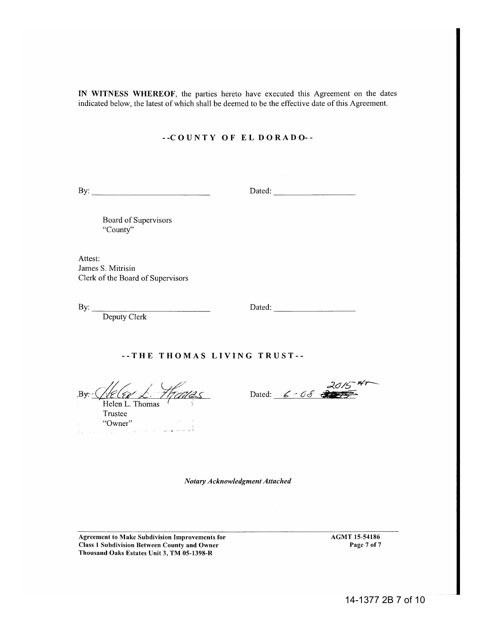IN WITNESS WHEREOF, the parties hereto have executed this Agreement on the dates indicated below, the latest of which shall be deemed to be the effective date of this Agreement.

## --COUNTY OF EL DORADO--

By: ---------------------------

Dated: ------------------

Board of Supervisors "County"

Attest: James S. Mitrisin Clerk of the Board of Supervisors

By:  $\qquad$ 

Deputy Clerk

Dated:

--THE THOMAS LIVING TRUST--

 $\n By: \n *Helen L. Thomas*\n$ 

Trustee "Owner"

 $2015$ <sup>4r-</sup> Dated: <u>6 - 08</u> 3075

*Notary Acknowledgment Attached* 

Agreement to Make Subdivision Improvements for Class 1 Subdivision Between County and Owner Thousand Oaks Estates Unit 3, TM 05-1398-R

AGMT 15-54186 Page 7 of 7

14-1377 2B 7 of 10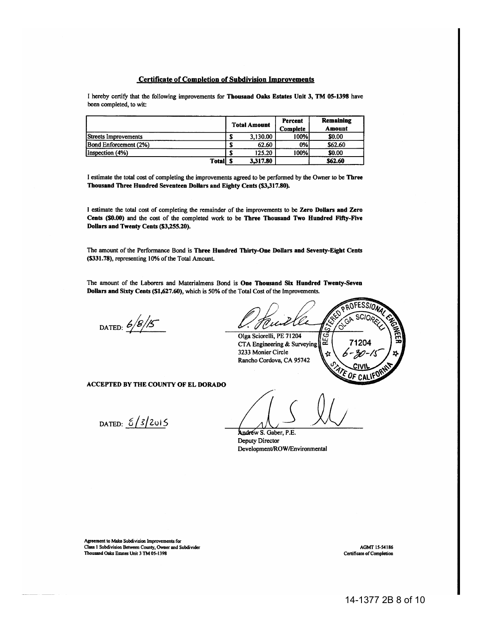#### Certificate of Completion of Subdivision Improvements

I hereby certify that the following improvements for Thousand Oaks Estates Unit 3, TM 05-1398 have been completed, to wit:

|                       | <b>Total Amount</b> | Percent<br><b>Complete</b> | <b>Remaining</b><br>Amount |
|-----------------------|---------------------|----------------------------|----------------------------|
| Streets Improvements  | 3,130.00            | 100%l                      | \$0.00                     |
| Bond Enforcement (2%) | 62.60               | 0%                         | \$62.60                    |
| Inspection (4%)       | 125.20              | 100%l                      | \$0.00                     |
| <b>Totall S</b>       | 3.317.80            |                            | \$62.60                    |

I estimate the total cost of completing the improvements agreed to be performed by the Owner to be Three Thousand Three Hundred Seventeen Dollars and Eighty Cents (\$3,317.80).

I estimate the total cost of completing the remainder of the improvements to be Zero Dollars and Zero Cents (\$0.00) and the cost of the completed work to be Three Thousand Two Hundred Fifty-Five Dollars and Twenty Cents (\$3,255.20).

The amount of the Performance Bond is Three Hundred Thirty-One DoUars and Seventy-Eight Cents (\$331.78), representing 10% of the Total Amount.

The amount of the Laborers and Materialmens Bond is One Thousand Six Hundred Twenty-Seven Dollars and Sixty Cents (\$1,627.60), which is 50% of the Total Cost of the Improvements.

DATED:  $6/8/5$ 

U scic ์ค่ Olga Sciorelli, PE 71204 Ğ 1204 CTA Engineering & Surveying 3233 Monier Circle Rancho Cordova, CA 95742

ACCEPTED BY THE COUNTY OF EL DORADO

DATED:  $\frac{5}{3}$ /2015

Andrew S. Gaber, P.E. Deputy Director Development/ROW /Environmental

Agreement to Make Subdivision Improvements for Class I Subdivision Between County, Owner and Subdivider Thousand Oaks Estates Unit 3 TM OS-1398

AGMf IS-S4186 Certificate of Completion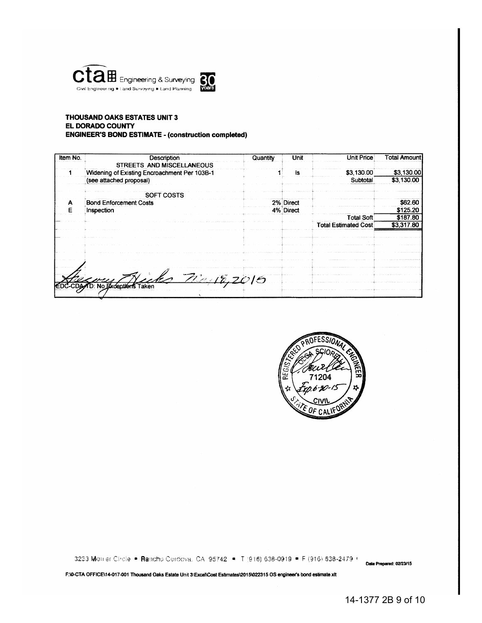



#### **THOUSAND OAKS ESTATES UNIT 3** EL DORADO COUNTY **ENGINEER'S BOND ESTIMATE - (construction completed)**

| Description                   | Quantity                                                                              | Unit       | Unit Price                  | <b>Total Amount</b> |
|-------------------------------|---------------------------------------------------------------------------------------|------------|-----------------------------|---------------------|
| STREETS AND MISCELLANEOUS     |                                                                                       |            |                             |                     |
|                               |                                                                                       | İS         | \$3,130.00                  | \$3,130.00          |
| (see attached proposal)       |                                                                                       |            | Subtotal                    | \$3,130.00          |
| SOFT COSTS                    |                                                                                       |            |                             |                     |
| <b>Bond Enforcement Costs</b> |                                                                                       |            |                             | \$62.60             |
| Inspection                    |                                                                                       |            |                             | \$125.20            |
|                               |                                                                                       |            | <b>Total Soft</b>           | \$187.80            |
|                               |                                                                                       |            | <b>Total Estimated Cost</b> | \$3,317.80          |
|                               |                                                                                       |            |                             |                     |
|                               |                                                                                       |            |                             |                     |
|                               |                                                                                       |            |                             |                     |
|                               |                                                                                       |            |                             |                     |
|                               |                                                                                       |            |                             |                     |
|                               |                                                                                       |            |                             |                     |
|                               | Widening of Existing Encroachment Per 103B-1<br><b>EDC-CDA/D: No Exceptions Taken</b> | 72.18,2015 | 2% Direct<br>4% Direct      |                     |



3233 Monier Chole . Rancho Cordova, CA 95742 . T (916) 638-0919 . F (916) 638-2479 .

Date Prepared: 02/23/15

F:\0-CTA OFFICE\14-017-001 Thousand Oaks Estate Unit 3\Excel\Cost Estimates\2015\022315 OS engineer's bond estimate xlt